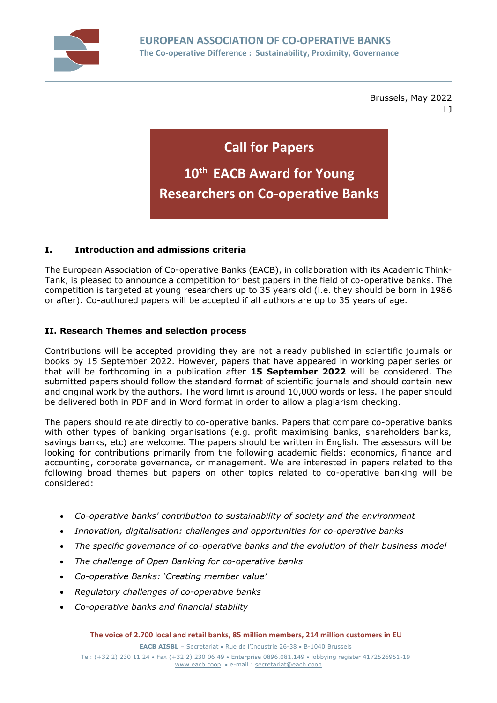

Brussels, May 2022 LJ

**Call for Papers**

# **10th EACB Award for Young Researchers on Co-operative Banks**

## **I. Introduction and admissions criteria**

The European Association of Co-operative Banks (EACB), in collaboration with its Academic Think-Tank, is pleased to announce a competition for best papers in the field of co-operative banks. The competition is targeted at young researchers up to 35 years old (i.e. they should be born in 1986 or after). Co-authored papers will be accepted if all authors are up to 35 years of age.

#### **II. Research Themes and selection process**

Contributions will be accepted providing they are not already published in scientific journals or books by 15 September 2022. However, papers that have appeared in working paper series or that will be forthcoming in a publication after **15 September 2022** will be considered. The submitted papers should follow the standard format of scientific journals and should contain new and original work by the authors. The word limit is around 10,000 words or less. The paper should be delivered both in PDF and in Word format in order to allow a plagiarism checking.

The papers should relate directly to co-operative banks. Papers that compare co-operative banks with other types of banking organisations (e.g. profit maximising banks, shareholders banks, savings banks, etc) are welcome. The papers should be written in English. The assessors will be looking for contributions primarily from the following academic fields: economics, finance and accounting, corporate governance, or management. We are interested in papers related to the following broad themes but papers on other topics related to co-operative banking will be considered:

- *Co-operative banks' contribution to sustainability of society and the environment*
- *Innovation, digitalisation: challenges and opportunities for co-operative banks*
- *The specific governance of co-operative banks and the evolution of their business model*
- *The challenge of Open Banking for co-operative banks*
- *Co-operative Banks: 'Creating member value'*
- *Regulatory challenges of co-operative banks*
- *Co-operative banks and financial stability*

**The voice of 2.700 local and retail banks, 85 million members, 214 million customers in EU**

**EACB AISBL** – Secretariat • Rue de l'Industrie 26-38 • B-1040 Brussels